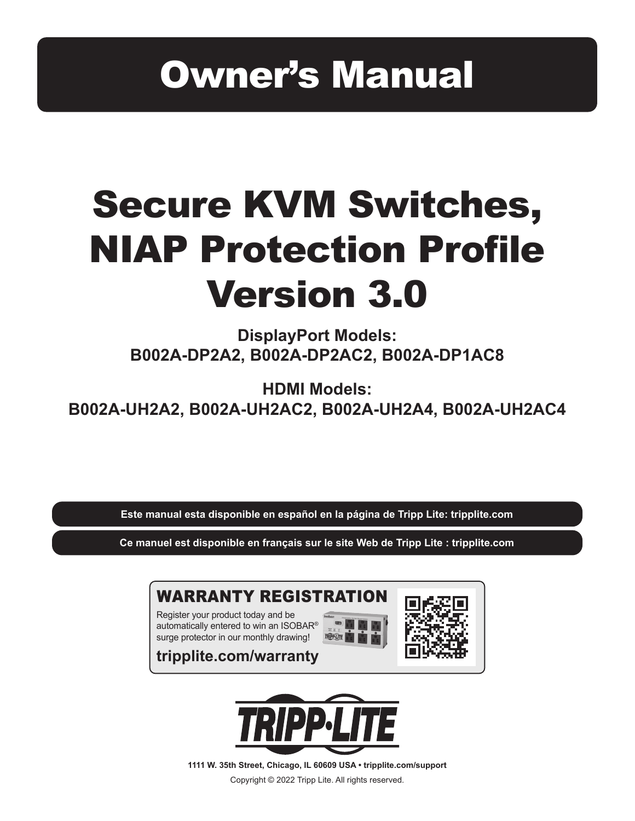# Owner's Manual

# Secure KVM Switches, NIAP Protection Profile Version 3.0

**DisplayPort Models: B002A-DP2A2, B002A-DP2AC2, B002A-DP1AC8**

**HDMI Models: B002A-UH2A2, B002A-UH2AC2, B002A-UH2A4, B002A-UH2AC4**

**Este manual esta disponible en español en la página de Tripp Lite: tripplite.com**

**Ce manuel est disponible en français sur le site Web de Tripp Lite : tripplite.com**



**tripplite.com/warranty**



**1111 W. 35th Street, Chicago, IL 60609 USA • tripplite.com/support** Copyright © 2022 Tripp Lite. All rights reserved.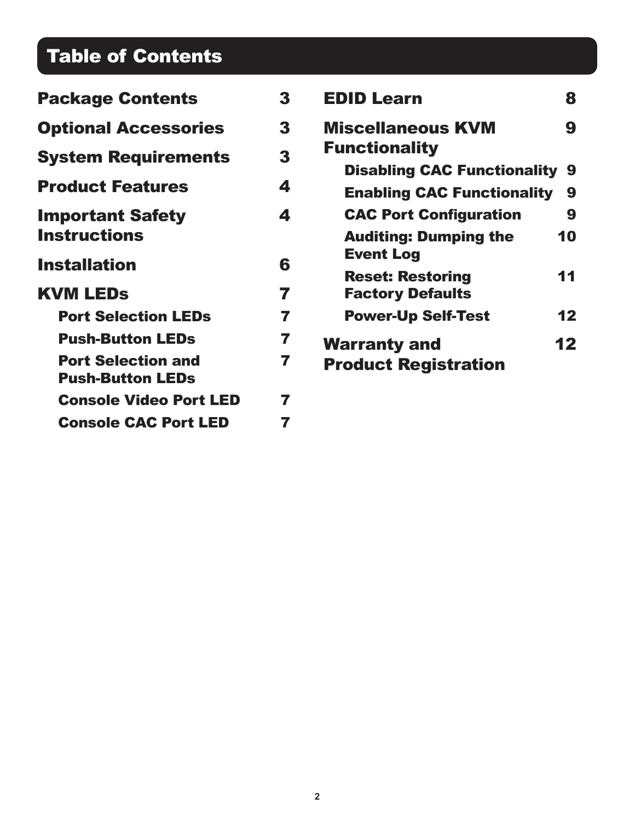## Table of Contents

| <b>Package Contents</b>                              | 3 | <b>EDID Learn</b>                                            | 8  |
|------------------------------------------------------|---|--------------------------------------------------------------|----|
| <b>Optional Accessories</b>                          | 3 | <b>Miscellaneous KVM</b>                                     | 9  |
| <b>System Requirements</b>                           | 3 | <b>Functionality</b><br><b>Disabling CAC Functionality 9</b> |    |
| <b>Product Features</b>                              | 4 | <b>Enabling CAC Functionality</b>                            | 9  |
| <b>Important Safety</b>                              | 4 | <b>CAC Port Configuration</b>                                | 9  |
| <b>Instructions</b>                                  |   | <b>Auditing: Dumping the</b><br><b>Event Log</b>             | 10 |
| <b>Installation</b>                                  | 6 | <b>Reset: Restoring</b>                                      | 11 |
| <b>KVM LEDS</b>                                      | 7 | <b>Factory Defaults</b>                                      |    |
| <b>Port Selection LEDs</b>                           | 7 | <b>Power-Up Self-Test</b>                                    | 12 |
| <b>Push-Button LEDs</b>                              | 7 | <b>Warranty and</b>                                          | 12 |
| <b>Port Selection and</b><br><b>Push-Button LEDs</b> | 7 | <b>Product Registration</b>                                  |    |
| <b>Console Video Port LED</b>                        | 7 |                                                              |    |
| <b>Console CAC Port LED</b>                          | 7 |                                                              |    |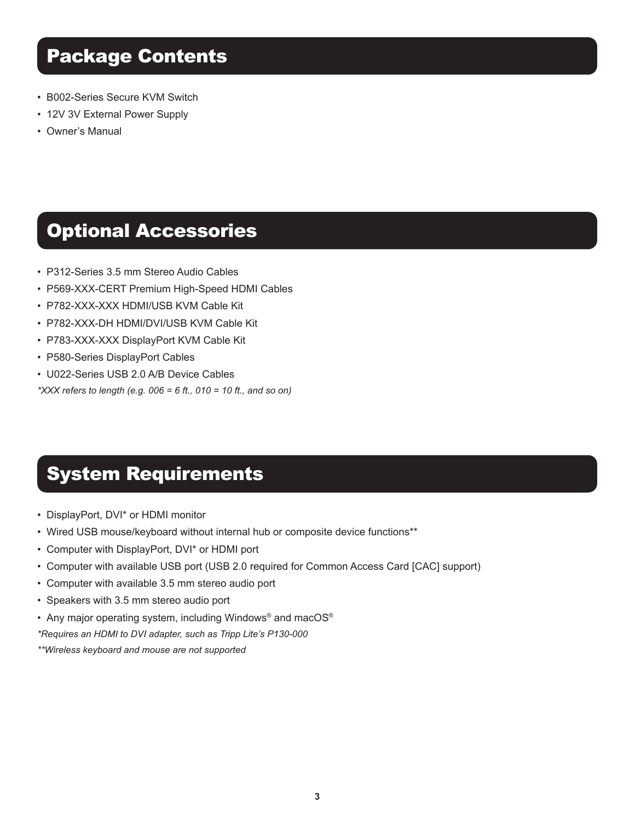- B002-Series Secure KVM Switch
- 12V 3V External Power Supply
- Owner's Manual

### Optional Accessories

- P312-Series 3.5 mm Stereo Audio Cables
- P569-XXX-CERT Premium High-Speed HDMI Cables
- P782-XXX-XXX HDMI/USB KVM Cable Kit
- P782-XXX-DH HDMI/DVI/USB KVM Cable Kit
- P783-XXX-XXX DisplayPort KVM Cable Kit
- P580-Series DisplayPort Cables
- U022-Series USB 2.0 A/B Device Cables
- *\*XXX refers to length (e.g. 006 = 6 ft., 010 = 10 ft., and so on)*

### System Requirements

- DisplayPort, DVI\* or HDMI monitor
- Wired USB mouse/keyboard without internal hub or composite device functions\*\*
- Computer with DisplayPort, DVI\* or HDMI port
- Computer with available USB port (USB 2.0 required for Common Access Card [CAC] support)
- Computer with available 3.5 mm stereo audio port
- Speakers with 3.5 mm stereo audio port
- Any major operating system, including Windows<sup>®</sup> and macOS<sup>®</sup>

*\*Requires an HDMI to DVI adapter, such as Tripp Lite's P130-000*

*\*\*Wireless keyboard and mouse are not supported*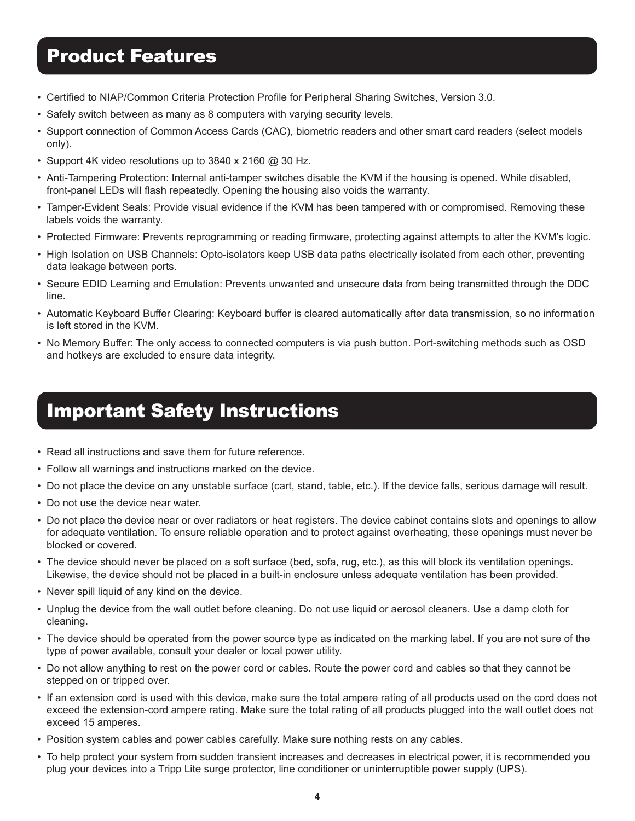### Product Features

- • Certified to NIAP/Common Criteria Protection Profile for Peripheral Sharing Switches, Version 3.0.
- Safely switch between as many as 8 computers with varying security levels.
- Support connection of Common Access Cards (CAC), biometric readers and other smart card readers (select models only).
- Support 4K video resolutions up to 3840 x 2160  $@$  30 Hz.
- Anti-Tampering Protection: Internal anti-tamper switches disable the KVM if the housing is opened. While disabled, front-panel LEDs will flash repeatedly. Opening the housing also voids the warranty.
- Tamper-Evident Seals: Provide visual evidence if the KVM has been tampered with or compromised. Removing these labels voids the warranty.
- • Protected Firmware: Prevents reprogramming or reading firmware, protecting against attempts to alter the KVM's logic.
- High Isolation on USB Channels: Opto-isolators keep USB data paths electrically isolated from each other, preventing data leakage between ports.
- Secure EDID Learning and Emulation: Prevents unwanted and unsecure data from being transmitted through the DDC line.
- • Automatic Keyboard Buffer Clearing: Keyboard buffer is cleared automatically after data transmission, so no information is left stored in the KVM.
- • No Memory Buffer: The only access to connected computers is via push button. Port-switching methods such as OSD and hotkeys are excluded to ensure data integrity.

### Important Safety Instructions

- Read all instructions and save them for future reference.
- Follow all warnings and instructions marked on the device.
- Do not place the device on any unstable surface (cart, stand, table, etc.). If the device falls, serious damage will result.
- Do not use the device near water.
- Do not place the device near or over radiators or heat registers. The device cabinet contains slots and openings to allow for adequate ventilation. To ensure reliable operation and to protect against overheating, these openings must never be blocked or covered.
- The device should never be placed on a soft surface (bed, sofa, rug, etc.), as this will block its ventilation openings. Likewise, the device should not be placed in a built-in enclosure unless adequate ventilation has been provided.
- Never spill liquid of any kind on the device.
- Unplug the device from the wall outlet before cleaning. Do not use liquid or aerosol cleaners. Use a damp cloth for cleaning.
- The device should be operated from the power source type as indicated on the marking label. If you are not sure of the type of power available, consult your dealer or local power utility.
- Do not allow anything to rest on the power cord or cables. Route the power cord and cables so that they cannot be stepped on or tripped over.
- If an extension cord is used with this device, make sure the total ampere rating of all products used on the cord does not exceed the extension-cord ampere rating. Make sure the total rating of all products plugged into the wall outlet does not exceed 15 amperes.
- Position system cables and power cables carefully. Make sure nothing rests on any cables.
- To help protect your system from sudden transient increases and decreases in electrical power, it is recommended you plug your devices into a Tripp Lite surge protector, line conditioner or uninterruptible power supply (UPS).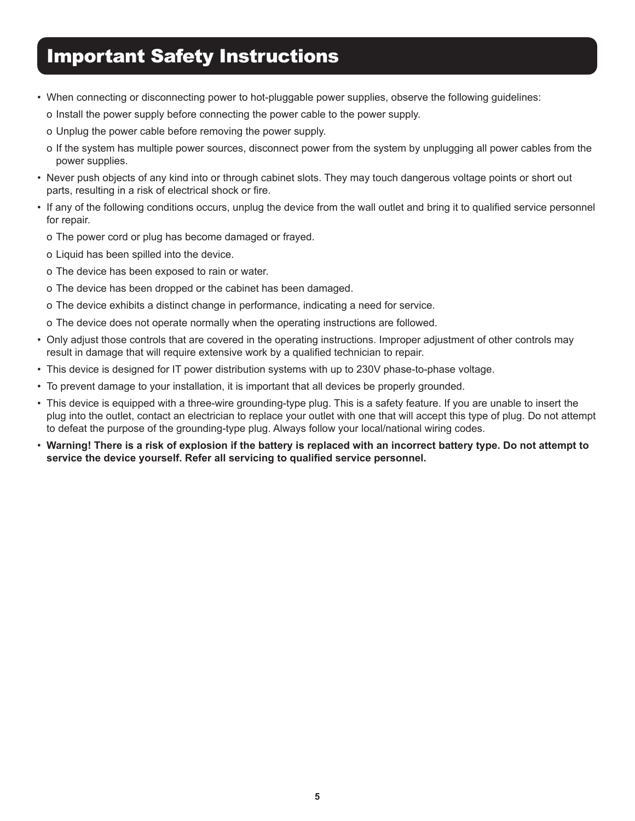### Important Safety Instructions

- When connecting or disconnecting power to hot-pluggable power supplies, observe the following guidelines:
	- o Install the power supply before connecting the power cable to the power supply.
	- o Unplug the power cable before removing the power supply.
	- o If the system has multiple power sources, disconnect power from the system by unplugging all power cables from the power supplies.
- • Never push objects of any kind into or through cabinet slots. They may touch dangerous voltage points or short out parts, resulting in a risk of electrical shock or fire.
- • If any of the following conditions occurs, unplug the device from the wall outlet and bring it to qualified service personnel for repair.
	- o The power cord or plug has become damaged or frayed.
	- o Liquid has been spilled into the device.
	- o The device has been exposed to rain or water.
	- o The device has been dropped or the cabinet has been damaged.
	- o The device exhibits a distinct change in performance, indicating a need for service.
	- o The device does not operate normally when the operating instructions are followed.
- Only adjust those controls that are covered in the operating instructions. Improper adjustment of other controls may result in damage that will require extensive work by a qualified technician to repair.
- This device is designed for IT power distribution systems with up to 230V phase-to-phase voltage.
- To prevent damage to your installation, it is important that all devices be properly grounded.
- This device is equipped with a three-wire grounding-type plug. This is a safety feature. If you are unable to insert the plug into the outlet, contact an electrician to replace your outlet with one that will accept this type of plug. Do not attempt to defeat the purpose of the grounding-type plug. Always follow your local/national wiring codes.
- **Warning! There is a risk of explosion if the battery is replaced with an incorrect battery type. Do not attempt to service the device yourself. Refer all servicing to qualified service personnel.**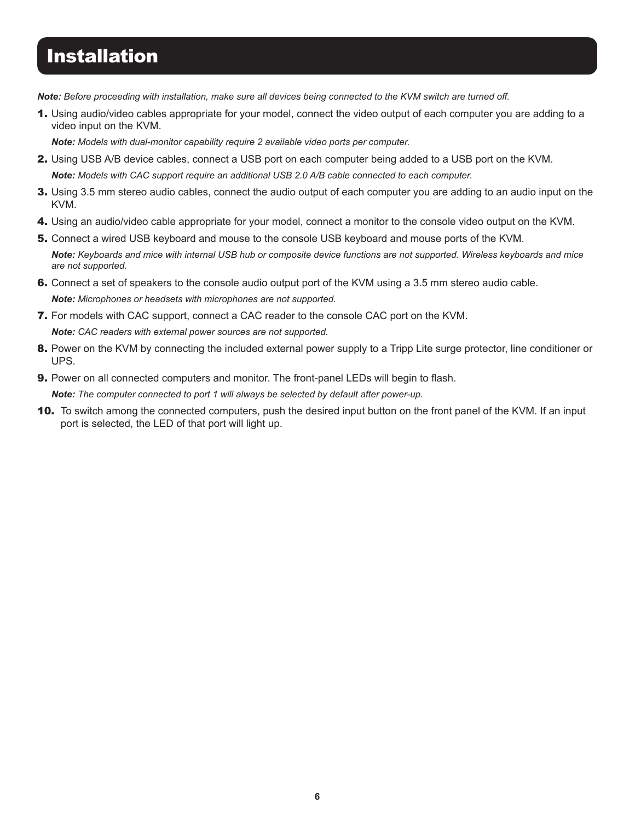### **Installation**

*Note: Before proceeding with installation, make sure all devices being connected to the KVM switch are turned off.*

1. Using audio/video cables appropriate for your model, connect the video output of each computer you are adding to a video input on the KVM.

*Note: Models with dual-monitor capability require 2 available video ports per computer.*

- 2. Using USB A/B device cables, connect a USB port on each computer being added to a USB port on the KVM. *Note: Models with CAC support require an additional USB 2.0 A/B cable connected to each computer.*
- 3. Using 3.5 mm stereo audio cables, connect the audio output of each computer you are adding to an audio input on the KVM.
- 4. Using an audio/video cable appropriate for your model, connect a monitor to the console video output on the KVM.
- 5. Connect a wired USB keyboard and mouse to the console USB keyboard and mouse ports of the KVM. *Note: Keyboards and mice with internal USB hub or composite device functions are not supported. Wireless keyboards and mice are not supported.*
- **6.** Connect a set of speakers to the console audio output port of the KVM using a 3.5 mm stereo audio cable. *Note: Microphones or headsets with microphones are not supported.*
- 7. For models with CAC support, connect a CAC reader to the console CAC port on the KVM. *Note: CAC readers with external power sources are not supported.*
- 8. Power on the KVM by connecting the included external power supply to a Tripp Lite surge protector, line conditioner or UPS.
- **9.** Power on all connected computers and monitor. The front-panel LEDs will begin to flash.

*Note: The computer connected to port 1 will always be selected by default after power-up.*

**10.** To switch among the connected computers, push the desired input button on the front panel of the KVM. If an input port is selected, the LED of that port will light up.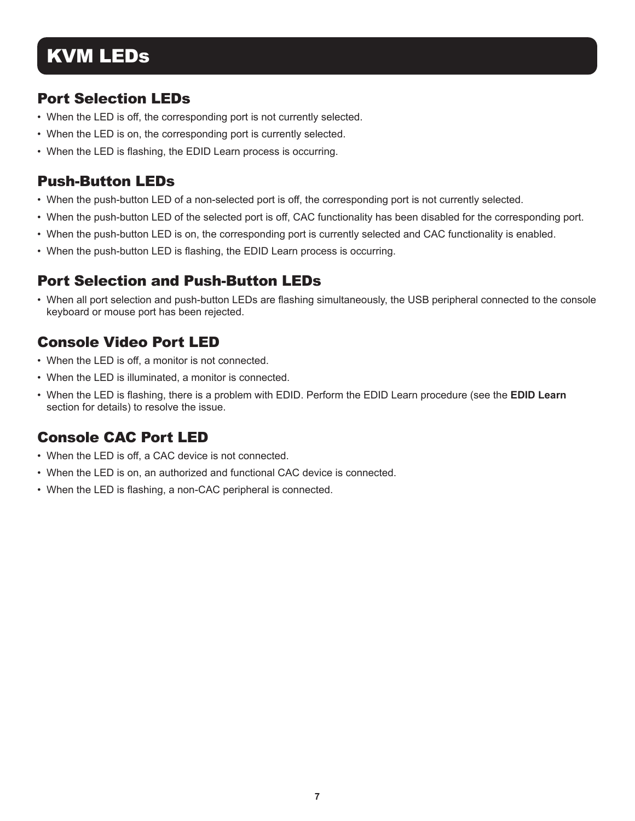### KVM LEDs

#### Port Selection LEDs

- When the LED is off, the corresponding port is not currently selected.
- When the LED is on, the corresponding port is currently selected.
- When the LED is flashing, the EDID Learn process is occurring.

#### Push-Button LEDs

- • When the push-button LED of a non-selected port is off, the corresponding port is not currently selected.
- When the push-button LED of the selected port is off, CAC functionality has been disabled for the corresponding port.
- When the push-button LED is on, the corresponding port is currently selected and CAC functionality is enabled.
- When the push-button LED is flashing, the EDID Learn process is occurring.

#### Port Selection and Push-Button LEDs

• When all port selection and push-button LEDs are flashing simultaneously, the USB peripheral connected to the console keyboard or mouse port has been rejected.

#### Console Video Port LED

- When the LED is off, a monitor is not connected.
- When the LED is illuminated, a monitor is connected.
- • When the LED is flashing, there is a problem with EDID. Perform the EDID Learn procedure (see the **EDID Learn** section for details) to resolve the issue.

#### Console CAC Port LED

- When the LED is off, a CAC device is not connected.
- When the LED is on, an authorized and functional CAC device is connected.
- When the LED is flashing, a non-CAC peripheral is connected.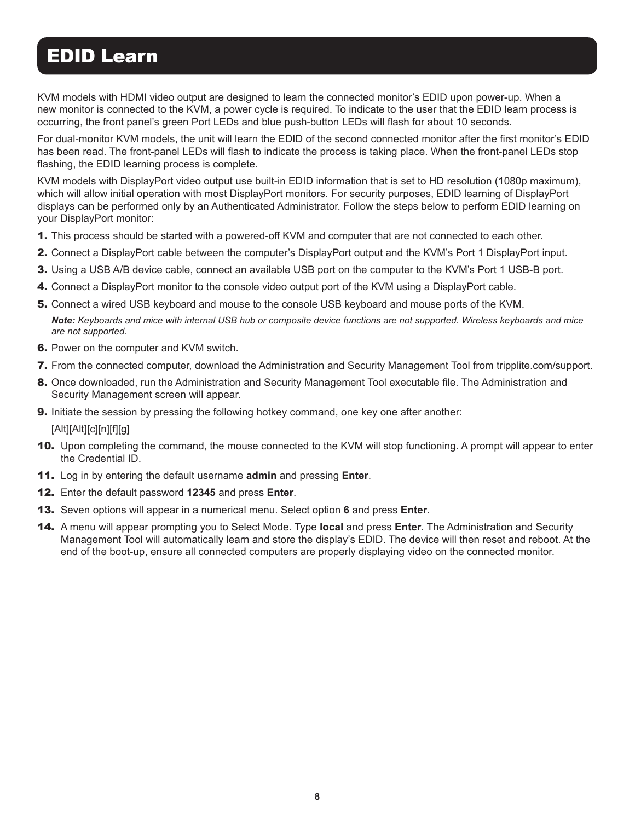### EDID Learn

KVM models with HDMI video output are designed to learn the connected monitor's EDID upon power-up. When a new monitor is connected to the KVM, a power cycle is required. To indicate to the user that the EDID learn process is occurring, the front panel's green Port LEDs and blue push-button LEDs will flash for about 10 seconds.

For dual-monitor KVM models, the unit will learn the EDID of the second connected monitor after the first monitor's EDID has been read. The front-panel LEDs will flash to indicate the process is taking place. When the front-panel LEDs stop flashing, the EDID learning process is complete.

KVM models with DisplayPort video output use built-in EDID information that is set to HD resolution (1080p maximum), which will allow initial operation with most DisplayPort monitors. For security purposes, EDID learning of DisplayPort displays can be performed only by an Authenticated Administrator. Follow the steps below to perform EDID learning on your DisplayPort monitor:

- **1.** This process should be started with a powered-off KVM and computer that are not connected to each other.
- 2. Connect a DisplayPort cable between the computer's DisplayPort output and the KVM's Port 1 DisplayPort input.
- **3.** Using a USB A/B device cable, connect an available USB port on the computer to the KVM's Port 1 USB-B port.
- 4. Connect a DisplayPort monitor to the console video output port of the KVM using a DisplayPort cable.
- 5. Connect a wired USB keyboard and mouse to the console USB keyboard and mouse ports of the KVM.

*Note: Keyboards and mice with internal USB hub or composite device functions are not supported. Wireless keyboards and mice are not supported.*

- **6.** Power on the computer and KVM switch.
- 7. From the connected computer, download the Administration and Security Management Tool from tripplite.com/support.
- 8. Once downloaded, run the Administration and Security Management Tool executable file. The Administration and Security Management screen will appear.
- 9. Initiate the session by pressing the following hotkey command, one key one after another:

[Alt][Alt][c][n][f][g]

- **10.** Upon completing the command, the mouse connected to the KVM will stop functioning. A prompt will appear to enter the Credential ID.
- 11. Log in by entering the default username **admin** and pressing **Enter**.
- 12. Enter the default password **12345** and press **Enter**.
- 13. Seven options will appear in a numerical menu. Select option **6** and press **Enter**.
- 14. A menu will appear prompting you to Select Mode. Type **local** and press **Enter**. The Administration and Security Management Tool will automatically learn and store the display's EDID. The device will then reset and reboot. At the end of the boot-up, ensure all connected computers are properly displaying video on the connected monitor.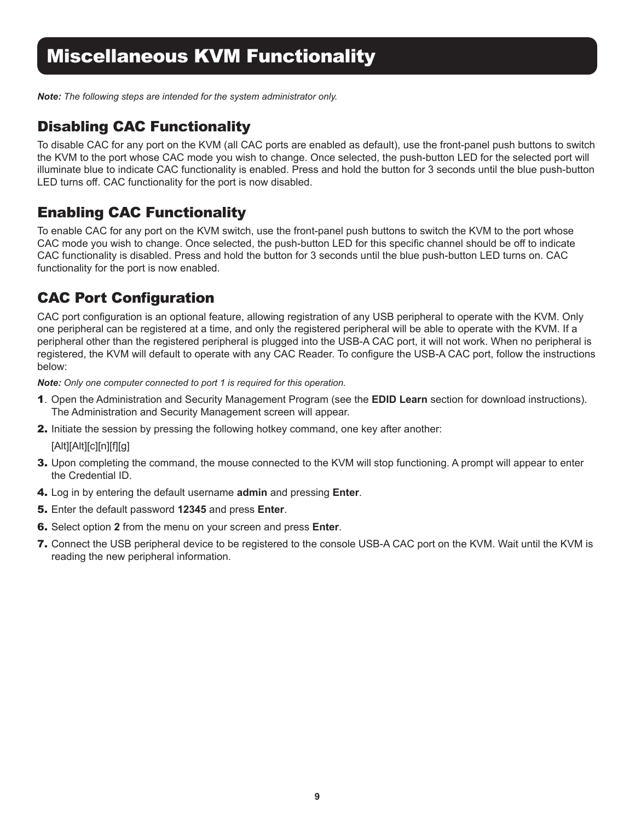### Miscellaneous KVM Functionality

*Note: The following steps are intended for the system administrator only.*

#### Disabling CAC Functionality

To disable CAC for any port on the KVM (all CAC ports are enabled as default), use the front-panel push buttons to switch the KVM to the port whose CAC mode you wish to change. Once selected, the push-button LED for the selected port will illuminate blue to indicate CAC functionality is enabled. Press and hold the button for 3 seconds until the blue push-button LED turns off. CAC functionality for the port is now disabled.

#### Enabling CAC Functionality

To enable CAC for any port on the KVM switch, use the front-panel push buttons to switch the KVM to the port whose CAC mode you wish to change. Once selected, the push-button LED for this specific channel should be off to indicate CAC functionality is disabled. Press and hold the button for 3 seconds until the blue push-button LED turns on. CAC functionality for the port is now enabled.

#### CAC Port Configuration

CAC port configuration is an optional feature, allowing registration of any USB peripheral to operate with the KVM. Only one peripheral can be registered at a time, and only the registered peripheral will be able to operate with the KVM. If a peripheral other than the registered peripheral is plugged into the USB-A CAC port, it will not work. When no peripheral is registered, the KVM will default to operate with any CAC Reader. To configure the USB-A CAC port, follow the instructions below:

*Note: Only one computer connected to port 1 is required for this operation.*

- 1. Open the Administration and Security Management Program (see the **EDID Learn** section for download instructions). The Administration and Security Management screen will appear.
- 2. Initiate the session by pressing the following hotkey command, one key after another:

[Alt][Alt][c][n][f][g]

- 3. Upon completing the command, the mouse connected to the KVM will stop functioning. A prompt will appear to enter the Credential ID.
- 4. Log in by entering the default username **admin** and pressing **Enter**.
- 5. Enter the default password **12345** and press **Enter**.
- 6. Select option **2** from the menu on your screen and press **Enter**.
- 7. Connect the USB peripheral device to be registered to the console USB-A CAC port on the KVM. Wait until the KVM is reading the new peripheral information.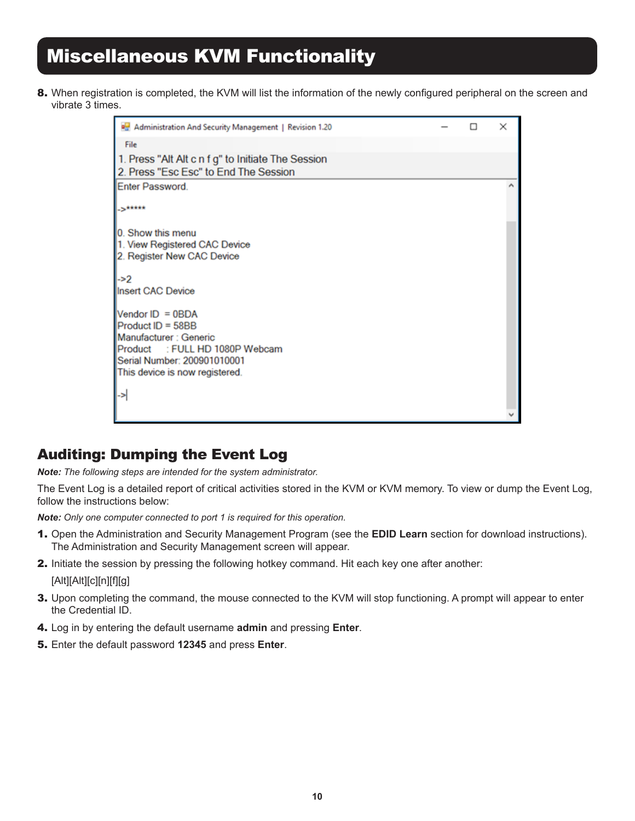## Miscellaneous KVM Functionality

8. When registration is completed, the KVM will list the information of the newly configured peripheral on the screen and vibrate 3 times.

| Administration And Security Management   Revision 1.20 |  | × |
|--------------------------------------------------------|--|---|
| File                                                   |  |   |
| 1. Press "Alt Alt c n f g" to Initiate The Session     |  |   |
| 2. Press "Esc Esc" to End The Session                  |  |   |
| <b>Enter Password</b>                                  |  |   |
| S <sup>RARRA</sup>                                     |  |   |
| 0. Show this menu                                      |  |   |
| 1. View Registered CAC Device                          |  |   |
| 2. Register New CAC Device                             |  |   |
| ->2                                                    |  |   |
| <b>Insert CAC Device</b>                               |  |   |
| Vendor ID = 0BDA                                       |  |   |
| Product ID = 58BB                                      |  |   |
| Manufacturer : Generic                                 |  |   |
| Product : FULL HD 1080P Webcam                         |  |   |
| Serial Number: 200901010001                            |  |   |
| This device is now registered.                         |  |   |
| ->                                                     |  |   |
|                                                        |  |   |
|                                                        |  |   |

#### Auditing: Dumping the Event Log

*Note: The following steps are intended for the system administrator.*

The Event Log is a detailed report of critical activities stored in the KVM or KVM memory. To view or dump the Event Log, follow the instructions below:

*Note: Only one computer connected to port 1 is required for this operation.*

- 1. Open the Administration and Security Management Program (see the **EDID Learn** section for download instructions). The Administration and Security Management screen will appear.
- 2. Initiate the session by pressing the following hotkey command. Hit each key one after another:

[Alt][Alt][c][n][f][g]

- 3. Upon completing the command, the mouse connected to the KVM will stop functioning. A prompt will appear to enter the Credential ID.
- 4. Log in by entering the default username **admin** and pressing **Enter**.
- 5. Enter the default password **12345** and press **Enter**.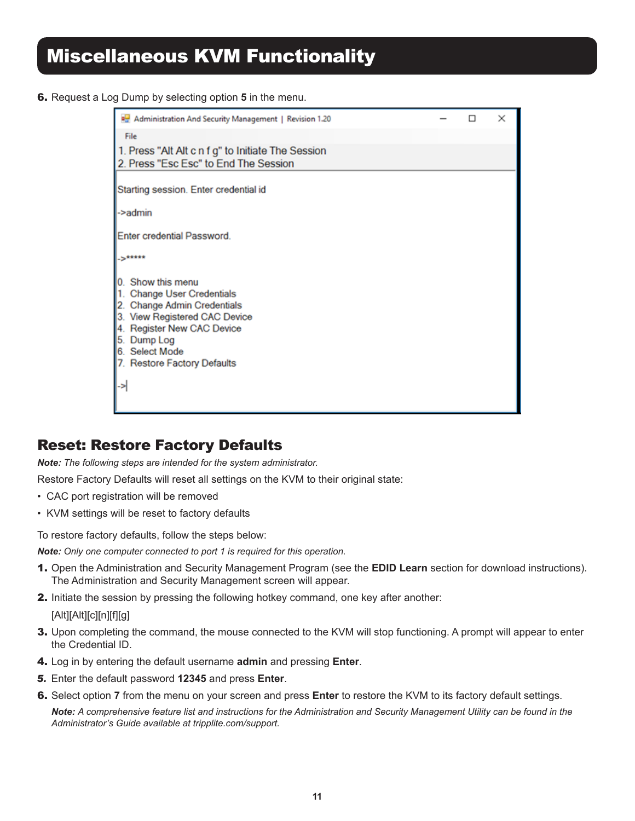6. Request a Log Dump by selecting option **5** in the menu.

| Administration And Security Management   Revision 1.20                                                                                                                                                              |  | $\times$ |
|---------------------------------------------------------------------------------------------------------------------------------------------------------------------------------------------------------------------|--|----------|
| File                                                                                                                                                                                                                |  |          |
| 1. Press "Alt Alt c n f g" to Initiate The Session<br>2. Press "Esc Esc" to End The Session                                                                                                                         |  |          |
| Starting session. Enter credential id                                                                                                                                                                               |  |          |
| ->admin                                                                                                                                                                                                             |  |          |
| Enter credential Password.                                                                                                                                                                                          |  |          |
| S <sup>*****</sup>                                                                                                                                                                                                  |  |          |
| 0. Show this menu<br>1. Change User Credentials<br>2. Change Admin Credentials<br>3. View Registered CAC Device<br>4. Register New CAC Device<br>5. Dump Log<br>6. Select Mode<br>7. Restore Factory Defaults<br>-> |  |          |
|                                                                                                                                                                                                                     |  |          |

#### Reset: Restore Factory Defaults

*Note: The following steps are intended for the system administrator.*

Restore Factory Defaults will reset all settings on the KVM to their original state:

- CAC port registration will be removed
- KVM settings will be reset to factory defaults

To restore factory defaults, follow the steps below:

*Note: Only one computer connected to port 1 is required for this operation.*

- 1. Open the Administration and Security Management Program (see the **EDID Learn** section for download instructions). The Administration and Security Management screen will appear.
- 2. Initiate the session by pressing the following hotkey command, one key after another:

[Alt][Alt][c][n][f][g]

- 3. Upon completing the command, the mouse connected to the KVM will stop functioning. A prompt will appear to enter the Credential ID.
- 4. Log in by entering the default username **admin** and pressing **Enter**.
- *5.* Enter the default password **12345** and press **Enter**.
- 6. Select option **7** from the menu on your screen and press **Enter** to restore the KVM to its factory default settings.

*Note: A comprehensive feature list and instructions for the Administration and Security Management Utility can be found in the Administrator's Guide available at tripplite.com/support.*